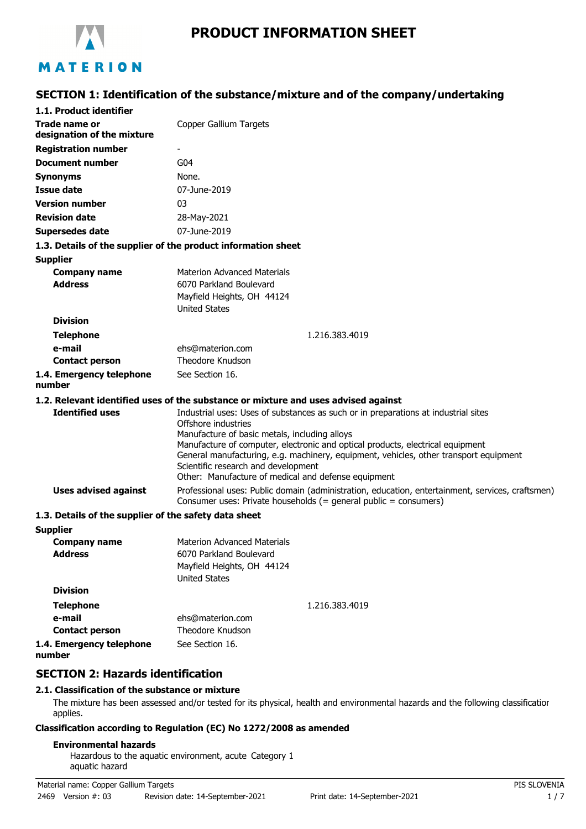

# **PRODUCT INFORMATION SHEET**

# **SECTION 1: Identification of the substance/mixture and of the company/undertaking**

| 1.1. Product identifier                               |                                                                                                                                                                         |  |
|-------------------------------------------------------|-------------------------------------------------------------------------------------------------------------------------------------------------------------------------|--|
| Trade name or                                         | Copper Gallium Targets                                                                                                                                                  |  |
| designation of the mixture                            |                                                                                                                                                                         |  |
| <b>Registration number</b>                            |                                                                                                                                                                         |  |
| <b>Document number</b>                                | G <sub>04</sub>                                                                                                                                                         |  |
| <b>Synonyms</b>                                       | None.                                                                                                                                                                   |  |
| <b>Issue date</b>                                     | 07-June-2019                                                                                                                                                            |  |
| <b>Version number</b>                                 | 03                                                                                                                                                                      |  |
| <b>Revision date</b>                                  | 28-May-2021                                                                                                                                                             |  |
| <b>Supersedes date</b>                                | 07-June-2019                                                                                                                                                            |  |
|                                                       | 1.3. Details of the supplier of the product information sheet                                                                                                           |  |
| <b>Supplier</b>                                       |                                                                                                                                                                         |  |
| <b>Company name</b>                                   | Materion Advanced Materials                                                                                                                                             |  |
| <b>Address</b>                                        | 6070 Parkland Boulevard                                                                                                                                                 |  |
|                                                       | Mayfield Heights, OH 44124                                                                                                                                              |  |
| <b>Division</b>                                       | <b>United States</b>                                                                                                                                                    |  |
|                                                       |                                                                                                                                                                         |  |
| <b>Telephone</b>                                      | 1.216.383.4019                                                                                                                                                          |  |
| e-mail<br><b>Contact person</b>                       | ehs@materion.com<br>Theodore Knudson                                                                                                                                    |  |
|                                                       | See Section 16.                                                                                                                                                         |  |
| 1.4. Emergency telephone<br>number                    |                                                                                                                                                                         |  |
|                                                       | 1.2. Relevant identified uses of the substance or mixture and uses advised against                                                                                      |  |
| <b>Identified uses</b>                                | Industrial uses: Uses of substances as such or in preparations at industrial sites                                                                                      |  |
|                                                       | Offshore industries                                                                                                                                                     |  |
|                                                       | Manufacture of basic metals, including alloys                                                                                                                           |  |
|                                                       | Manufacture of computer, electronic and optical products, electrical equipment<br>General manufacturing, e.g. machinery, equipment, vehicles, other transport equipment |  |
|                                                       | Scientific research and development                                                                                                                                     |  |
|                                                       | Other: Manufacture of medical and defense equipment                                                                                                                     |  |
| <b>Uses advised against</b>                           | Professional uses: Public domain (administration, education, entertainment, services, craftsmen)<br>Consumer uses: Private households $(=$ general public = consumers)  |  |
| 1.3. Details of the supplier of the safety data sheet |                                                                                                                                                                         |  |
| <b>Supplier</b>                                       |                                                                                                                                                                         |  |
| <b>Company name</b>                                   | <b>Materion Advanced Materials</b>                                                                                                                                      |  |
| <b>Address</b>                                        | 6070 Parkland Boulevard                                                                                                                                                 |  |
|                                                       | Mayfield Heights, OH 44124                                                                                                                                              |  |
| <b>Division</b>                                       | <b>United States</b>                                                                                                                                                    |  |
|                                                       |                                                                                                                                                                         |  |
| <b>Telephone</b><br>e-mail                            | 1.216.383.4019                                                                                                                                                          |  |
| <b>Contact person</b>                                 | ehs@materion.com<br>Theodore Knudson                                                                                                                                    |  |
| 1.4. Emergency telephone                              | See Section 16.                                                                                                                                                         |  |
|                                                       |                                                                                                                                                                         |  |

**number**

## **SECTION 2: Hazards identification**

#### **2.1. Classification of the substance or mixture**

The mixture has been assessed and/or tested for its physical, health and environmental hazards and the following classification applies.

#### **Classification according to Regulation (EC) No 1272/2008 as amended**

#### **Environmental hazards**

Hazardous to the aquatic environment, acute Category 1 aquatic hazard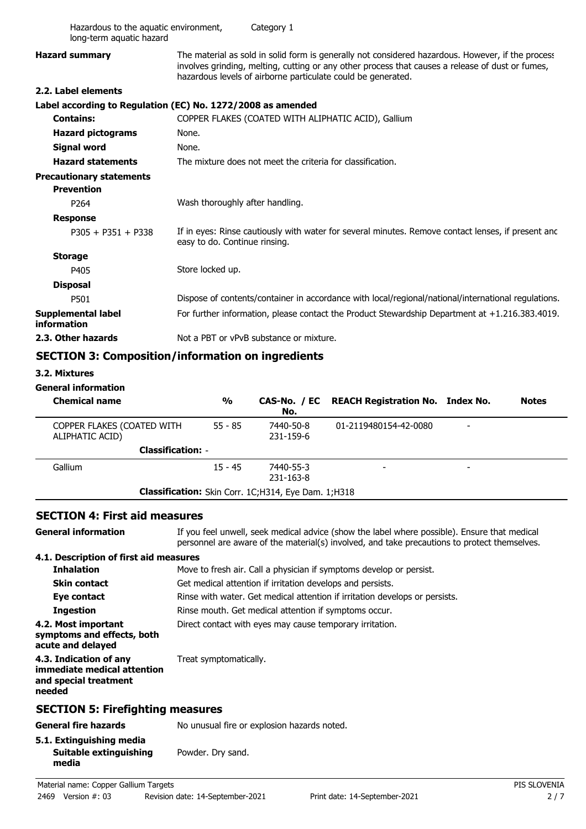| Hazardous to the aquatic environment,<br>long-term aquatic hazard |                                                                                                                                                                                                                                                                       | Category 1                                                 |                                                                                                     |              |
|-------------------------------------------------------------------|-----------------------------------------------------------------------------------------------------------------------------------------------------------------------------------------------------------------------------------------------------------------------|------------------------------------------------------------|-----------------------------------------------------------------------------------------------------|--------------|
| <b>Hazard summary</b>                                             | The material as sold in solid form is generally not considered hazardous. However, if the process<br>involves grinding, melting, cutting or any other process that causes a release of dust or fumes,<br>hazardous levels of airborne particulate could be generated. |                                                            |                                                                                                     |              |
| 2.2. Label elements                                               |                                                                                                                                                                                                                                                                       |                                                            |                                                                                                     |              |
| Label according to Regulation (EC) No. 1272/2008 as amended       |                                                                                                                                                                                                                                                                       |                                                            |                                                                                                     |              |
| <b>Contains:</b>                                                  |                                                                                                                                                                                                                                                                       |                                                            | COPPER FLAKES (COATED WITH ALIPHATIC ACID), Gallium                                                 |              |
| <b>Hazard pictograms</b>                                          | None.                                                                                                                                                                                                                                                                 |                                                            |                                                                                                     |              |
| <b>Signal word</b>                                                | None.                                                                                                                                                                                                                                                                 |                                                            |                                                                                                     |              |
| <b>Hazard statements</b>                                          |                                                                                                                                                                                                                                                                       | The mixture does not meet the criteria for classification. |                                                                                                     |              |
| <b>Precautionary statements</b><br><b>Prevention</b>              |                                                                                                                                                                                                                                                                       |                                                            |                                                                                                     |              |
| P264                                                              | Wash thoroughly after handling.                                                                                                                                                                                                                                       |                                                            |                                                                                                     |              |
| <b>Response</b>                                                   |                                                                                                                                                                                                                                                                       |                                                            |                                                                                                     |              |
| $P305 + P351 + P338$                                              | easy to do. Continue rinsing.                                                                                                                                                                                                                                         |                                                            | If in eyes: Rinse cautiously with water for several minutes. Remove contact lenses, if present and  |              |
| <b>Storage</b>                                                    |                                                                                                                                                                                                                                                                       |                                                            |                                                                                                     |              |
| P405                                                              | Store locked up.                                                                                                                                                                                                                                                      |                                                            |                                                                                                     |              |
| <b>Disposal</b>                                                   |                                                                                                                                                                                                                                                                       |                                                            |                                                                                                     |              |
| P501                                                              |                                                                                                                                                                                                                                                                       |                                                            | Dispose of contents/container in accordance with local/regional/national/international regulations. |              |
| <b>Supplemental label</b><br>information                          | For further information, please contact the Product Stewardship Department at +1.216.383.4019.                                                                                                                                                                        |                                                            |                                                                                                     |              |
| 2.3. Other hazards                                                | Not a PBT or vPvB substance or mixture.                                                                                                                                                                                                                               |                                                            |                                                                                                     |              |
| <b>SECTION 3: Composition/information on ingredients</b>          |                                                                                                                                                                                                                                                                       |                                                            |                                                                                                     |              |
| 3.2. Mixtures                                                     |                                                                                                                                                                                                                                                                       |                                                            |                                                                                                     |              |
| <b>General information</b>                                        |                                                                                                                                                                                                                                                                       |                                                            |                                                                                                     |              |
| <b>Chemical name</b>                                              | $\frac{0}{0}$                                                                                                                                                                                                                                                         | CAS-No. / EC<br>No.                                        | <b>REACH Registration No. Index No.</b>                                                             | <b>Notes</b> |
| COPPER FLAKES (COATED WITH<br>ALIPHATIC ACID)                     | $55 - 85$                                                                                                                                                                                                                                                             | 7440-50-8<br>231-159-6                                     | 01-2119480154-42-0080                                                                               |              |
|                                                                   | <b>Classification: -</b>                                                                                                                                                                                                                                              |                                                            |                                                                                                     |              |
| Gallium                                                           | $15 - 45$                                                                                                                                                                                                                                                             | 7440-55-3                                                  |                                                                                                     |              |

### **SECTION 4: First aid measures**

If you feel unwell, seek medical advice (show the label where possible). Ensure that medical personnel are aware of the material(s) involved, and take precautions to protect themselves.

#### **4.1. Description of first aid measures**

**General information**

| <b>Inhalation</b>                                                                        | Move to fresh air. Call a physician if symptoms develop or persist.         |  |  |
|------------------------------------------------------------------------------------------|-----------------------------------------------------------------------------|--|--|
| <b>Skin contact</b>                                                                      | Get medical attention if irritation develops and persists.                  |  |  |
| Eye contact                                                                              | Rinse with water. Get medical attention if irritation develops or persists. |  |  |
| <b>Ingestion</b>                                                                         | Rinse mouth. Get medical attention if symptoms occur.                       |  |  |
| 4.2. Most important<br>symptoms and effects, both<br>acute and delayed                   | Direct contact with eyes may cause temporary irritation.                    |  |  |
| 4.3. Indication of any<br>immediate medical attention<br>and special treatment<br>needed | Treat symptomatically.                                                      |  |  |
| <b>SECTION 5: Firefighting measures</b>                                                  |                                                                             |  |  |
| <b>General fire hazards</b>                                                              | No unusual fire or explosion hazards noted.                                 |  |  |
| 5.1. Extinguishing media                                                                 |                                                                             |  |  |

**Classification:** Skin Corr. 1C;H314, Eye Dam. 1;H318

-Gallium -7440-55-3

231-163-8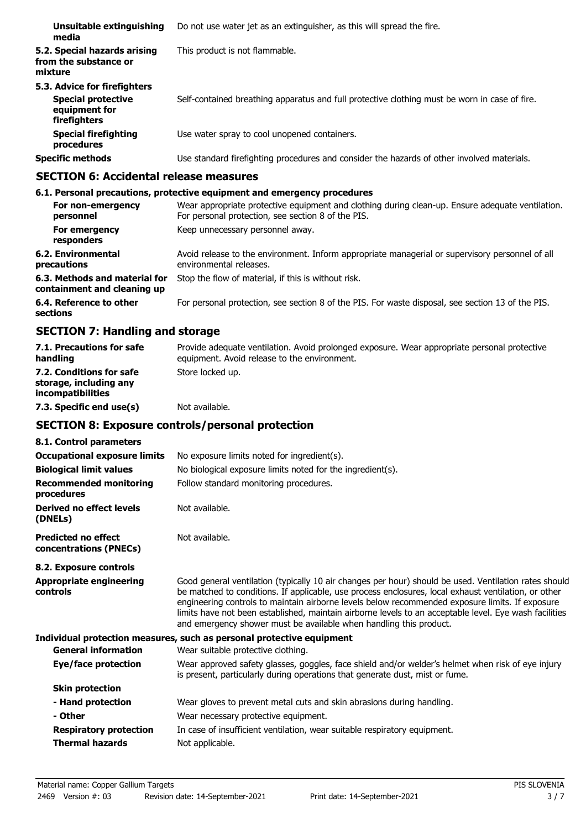| Unsuitable extinguishing<br>media                                                          | Do not use water jet as an extinguisher, as this will spread the fire.                        |
|--------------------------------------------------------------------------------------------|-----------------------------------------------------------------------------------------------|
| 5.2. Special hazards arising<br>from the substance or<br>mixture                           | This product is not flammable.                                                                |
| 5.3. Advice for firefighters<br><b>Special protective</b><br>equipment for<br>firefighters | Self-contained breathing apparatus and full protective clothing must be worn in case of fire. |
| <b>Special firefighting</b><br>procedures                                                  | Use water spray to cool unopened containers.                                                  |
| <b>Specific methods</b>                                                                    | Use standard firefighting procedures and consider the hazards of other involved materials.    |

# **SECTION 6: Accidental release measures**

| 6.1. Personal precautions, protective equipment and emergency procedures                                                                               |
|--------------------------------------------------------------------------------------------------------------------------------------------------------|
| Wear appropriate protective equipment and clothing during clean-up. Ensure adequate ventilation.<br>For personal protection, see section 8 of the PIS. |
| Keep unnecessary personnel away.                                                                                                                       |
| Avoid release to the environment. Inform appropriate managerial or supervisory personnel of all<br>environmental releases.                             |
| Stop the flow of material, if this is without risk.                                                                                                    |
| For personal protection, see section 8 of the PIS. For waste disposal, see section 13 of the PIS.                                                      |
|                                                                                                                                                        |

# **SECTION 7: Handling and storage**

| 7.1. Precautions for safe<br>handling                                          | Provide adequate ventilation. Avoid prolonged exposure. Wear appropriate personal protective<br>equipment. Avoid release to the environment. |
|--------------------------------------------------------------------------------|----------------------------------------------------------------------------------------------------------------------------------------------|
| 7.2. Conditions for safe<br>storage, including any<br><i>incompatibilities</i> | Store locked up.                                                                                                                             |
| 7.3. Specific end use(s)                                                       | Not available.                                                                                                                               |

# **SECTION 8: Exposure controls/personal protection**

| 8.1. Control parameters                              |                                                                                                                                                                                                                                                                                                                                                                                                                                                                                                  |
|------------------------------------------------------|--------------------------------------------------------------------------------------------------------------------------------------------------------------------------------------------------------------------------------------------------------------------------------------------------------------------------------------------------------------------------------------------------------------------------------------------------------------------------------------------------|
| <b>Occupational exposure limits</b>                  | No exposure limits noted for ingredient(s).                                                                                                                                                                                                                                                                                                                                                                                                                                                      |
| <b>Biological limit values</b>                       | No biological exposure limits noted for the ingredient(s).                                                                                                                                                                                                                                                                                                                                                                                                                                       |
| <b>Recommended monitoring</b><br>procedures          | Follow standard monitoring procedures.                                                                                                                                                                                                                                                                                                                                                                                                                                                           |
| Derived no effect levels<br>(DNELs)                  | Not available.                                                                                                                                                                                                                                                                                                                                                                                                                                                                                   |
| <b>Predicted no effect</b><br>concentrations (PNECs) | Not available.                                                                                                                                                                                                                                                                                                                                                                                                                                                                                   |
| 8.2. Exposure controls                               |                                                                                                                                                                                                                                                                                                                                                                                                                                                                                                  |
| <b>Appropriate engineering</b><br>controls           | Good general ventilation (typically 10 air changes per hour) should be used. Ventilation rates should<br>be matched to conditions. If applicable, use process enclosures, local exhaust ventilation, or other<br>engineering controls to maintain airborne levels below recommended exposure limits. If exposure<br>limits have not been established, maintain airborne levels to an acceptable level. Eye wash facilities<br>and emergency shower must be available when handling this product. |
|                                                      | Individual protection measures, such as personal protective equipment                                                                                                                                                                                                                                                                                                                                                                                                                            |
| <b>General information</b>                           | Wear suitable protective clothing.                                                                                                                                                                                                                                                                                                                                                                                                                                                               |
| Eye/face protection                                  | Wear approved safety glasses, goggles, face shield and/or welder's helmet when risk of eye injury<br>is present, particularly during operations that generate dust, mist or fume.                                                                                                                                                                                                                                                                                                                |
| <b>Skin protection</b>                               |                                                                                                                                                                                                                                                                                                                                                                                                                                                                                                  |
| - Hand protection                                    | Wear gloves to prevent metal cuts and skin abrasions during handling.                                                                                                                                                                                                                                                                                                                                                                                                                            |
| - Other                                              | Wear necessary protective equipment.                                                                                                                                                                                                                                                                                                                                                                                                                                                             |
| <b>Respiratory protection</b>                        | In case of insufficient ventilation, wear suitable respiratory equipment.                                                                                                                                                                                                                                                                                                                                                                                                                        |
| <b>Thermal hazards</b>                               | Not applicable.                                                                                                                                                                                                                                                                                                                                                                                                                                                                                  |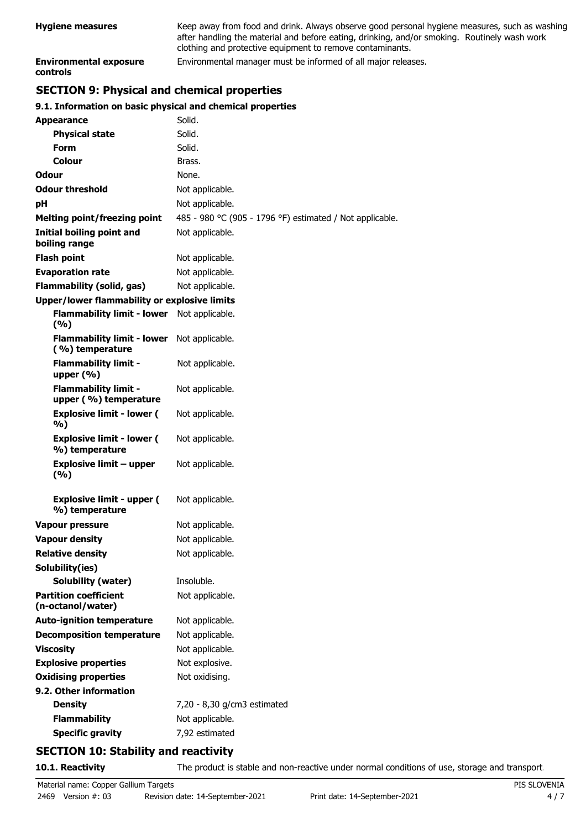| <b>Hygiene measures</b>                          | Keep away from food and drink. Always observe good personal hygiene measures, such as washing<br>after handling the material and before eating, drinking, and/or smoking. Routinely wash work<br>clothing and protective equipment to remove contaminants. |
|--------------------------------------------------|------------------------------------------------------------------------------------------------------------------------------------------------------------------------------------------------------------------------------------------------------------|
| <b>Environmental exposure</b><br><b>controls</b> | Environmental manager must be informed of all major releases.                                                                                                                                                                                              |

# **SECTION 9: Physical and chemical properties**

# **9.1. Information on basic physical and chemical properties**

| <b>Appearance</b>                                    | Solid.                                                   |
|------------------------------------------------------|----------------------------------------------------------|
| <b>Physical state</b>                                | Solid.                                                   |
| Form                                                 | Solid.                                                   |
| <b>Colour</b>                                        | Brass.                                                   |
| Odour                                                | None.                                                    |
| <b>Odour threshold</b>                               | Not applicable.                                          |
| рH                                                   | Not applicable.                                          |
| <b>Melting point/freezing point</b>                  | 485 - 980 °C (905 - 1796 °F) estimated / Not applicable. |
| Initial boiling point and<br>boiling range           | Not applicable.                                          |
| <b>Flash point</b>                                   | Not applicable.                                          |
| <b>Evaporation rate</b>                              | Not applicable.                                          |
| <b>Flammability (solid, gas)</b>                     | Not applicable.                                          |
| <b>Upper/lower flammability or explosive limits</b>  |                                                          |
| <b>Flammability limit - lower</b><br>(%)             | Not applicable.                                          |
| <b>Flammability limit - lower</b><br>(%) temperature | Not applicable.                                          |
| <b>Flammability limit -</b><br>upper $(% )$          | Not applicable.                                          |
| <b>Flammability limit -</b><br>upper (%) temperature | Not applicable.                                          |
| <b>Explosive limit - lower (</b><br>%)               | Not applicable.                                          |
| <b>Explosive limit - lower (</b><br>%) temperature   | Not applicable.                                          |
| <b>Explosive limit - upper</b><br>(%)                | Not applicable.                                          |
| <b>Explosive limit - upper (</b><br>%) temperature   | Not applicable.                                          |
| <b>Vapour pressure</b>                               | Not applicable.                                          |
| <b>Vapour density</b>                                | Not applicable.                                          |
| <b>Relative density</b>                              | Not applicable.                                          |
| Solubility(ies)                                      |                                                          |
| Solubility (water)                                   | Insoluble.                                               |
| <b>Partition coefficient</b><br>(n-octanol/water)    | Not applicable.                                          |
| <b>Auto-ignition temperature</b>                     | Not applicable.                                          |
| <b>Decomposition temperature</b>                     | Not applicable.                                          |
| <b>Viscosity</b>                                     | Not applicable.                                          |
| <b>Explosive properties</b>                          | Not explosive.                                           |
| <b>Oxidising properties</b>                          | Not oxidising.                                           |
| 9.2. Other information                               |                                                          |
| <b>Density</b>                                       | 7,20 - 8,30 g/cm3 estimated                              |
| <b>Flammability</b>                                  | Not applicable.                                          |
| <b>Specific gravity</b>                              | 7,92 estimated                                           |
|                                                      |                                                          |

# **SECTION 10: Stability and reactivity**

**10.1. Reactivity** The product is stable and non-reactive under normal conditions of use, storage and transport.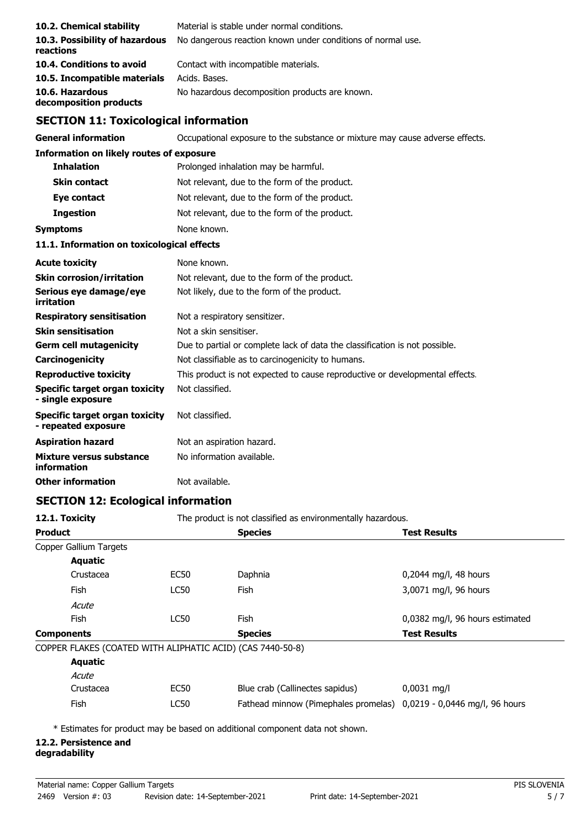| 10.2. Chemical stability                                     | Material is stable under normal conditions.                                  |  |  |
|--------------------------------------------------------------|------------------------------------------------------------------------------|--|--|
| 10.3. Possibility of hazardous                               | No dangerous reaction known under conditions of normal use.                  |  |  |
| reactions                                                    |                                                                              |  |  |
| 10.4. Conditions to avoid                                    | Contact with incompatible materials.<br>Acids, Bases,                        |  |  |
| 10.5. Incompatible materials<br>10.6. Hazardous              | No hazardous decomposition products are known.                               |  |  |
| decomposition products                                       |                                                                              |  |  |
| <b>SECTION 11: Toxicological information</b>                 |                                                                              |  |  |
| <b>General information</b>                                   | Occupational exposure to the substance or mixture may cause adverse effects. |  |  |
| <b>Information on likely routes of exposure</b>              |                                                                              |  |  |
| <b>Inhalation</b>                                            | Prolonged inhalation may be harmful.                                         |  |  |
| <b>Skin contact</b>                                          | Not relevant, due to the form of the product.                                |  |  |
| Eye contact                                                  | Not relevant, due to the form of the product.                                |  |  |
| <b>Ingestion</b>                                             | Not relevant, due to the form of the product.                                |  |  |
| <b>Symptoms</b>                                              | None known.                                                                  |  |  |
| 11.1. Information on toxicological effects                   |                                                                              |  |  |
| <b>Acute toxicity</b>                                        | None known.                                                                  |  |  |
| <b>Skin corrosion/irritation</b>                             | Not relevant, due to the form of the product.                                |  |  |
| Serious eye damage/eye<br>irritation                         | Not likely, due to the form of the product.                                  |  |  |
| <b>Respiratory sensitisation</b>                             | Not a respiratory sensitizer.                                                |  |  |
| <b>Skin sensitisation</b>                                    | Not a skin sensitiser.                                                       |  |  |
| <b>Germ cell mutagenicity</b>                                | Due to partial or complete lack of data the classification is not possible.  |  |  |
| Carcinogenicity                                              | Not classifiable as to carcinogenicity to humans.                            |  |  |
| <b>Reproductive toxicity</b>                                 | This product is not expected to cause reproductive or developmental effects. |  |  |
| <b>Specific target organ toxicity</b><br>- single exposure   | Not classified.                                                              |  |  |
| <b>Specific target organ toxicity</b><br>- repeated exposure | Not classified.                                                              |  |  |
| <b>Aspiration hazard</b>                                     | Not an aspiration hazard.                                                    |  |  |
| Mixture versus substance<br>information                      | No information available.                                                    |  |  |
| <b>Other information</b>                                     | Not available.                                                               |  |  |

### **SECTION 12: Ecological information**

| 12.1. Toxicity<br><b>Product</b> |                        |             | The product is not classified as environmentally hazardous.         |                                 |
|----------------------------------|------------------------|-------------|---------------------------------------------------------------------|---------------------------------|
|                                  |                        |             | <b>Species</b>                                                      | <b>Test Results</b>             |
|                                  | Copper Gallium Targets |             |                                                                     |                                 |
|                                  | <b>Aquatic</b>         |             |                                                                     |                                 |
|                                  | Crustacea              | EC50        | Daphnia                                                             | $0,2044$ mg/l, 48 hours         |
|                                  | Fish                   | LC50        | <b>Fish</b>                                                         | 3,0071 mg/l, 96 hours           |
|                                  | Acute                  |             |                                                                     |                                 |
|                                  | Fish                   | <b>LC50</b> | <b>Fish</b>                                                         | 0,0382 mg/l, 96 hours estimated |
| <b>Components</b>                |                        |             | <b>Species</b>                                                      | <b>Test Results</b>             |
|                                  |                        |             | COPPER FLAKES (COATED WITH ALIPHATIC ACID) (CAS 7440-50-8)          |                                 |
|                                  | <b>Aquatic</b>         |             |                                                                     |                                 |
|                                  | Acute                  |             |                                                                     |                                 |
|                                  | Crustacea              | <b>EC50</b> | Blue crab (Callinectes sapidus)                                     | $0,0031$ mg/l                   |
|                                  | Fish                   | LC50        | Fathead minnow (Pimephales promelas) 0,0219 - 0,0446 mg/l, 96 hours |                                 |

\* Estimates for product may be based on additional component data not shown.

# **12.2. Persistence and**

## **degradability**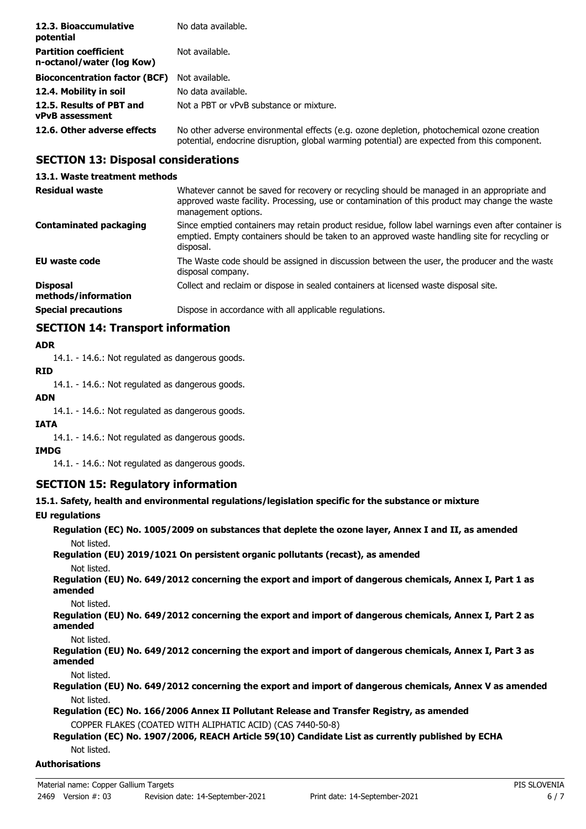| 12.3. Bioaccumulative<br>potential                        | No data available.                                                                                                                                                                         |
|-----------------------------------------------------------|--------------------------------------------------------------------------------------------------------------------------------------------------------------------------------------------|
| <b>Partition coefficient</b><br>n-octanol/water (log Kow) | Not available.                                                                                                                                                                             |
| <b>Bioconcentration factor (BCF)</b>                      | Not available.                                                                                                                                                                             |
| 12.4. Mobility in soil                                    | No data available.                                                                                                                                                                         |
| 12.5. Results of PBT and<br><b>vPvB</b> assessment        | Not a PBT or vPvB substance or mixture.                                                                                                                                                    |
| 12.6. Other adverse effects                               | No other adverse environmental effects (e.g. ozone depletion, photochemical ozone creation<br>potential, endocrine disruption, global warming potential) are expected from this component. |

# **SECTION 13: Disposal considerations**

### **13.1. Waste treatment methods**

| <b>Residual waste</b>                  | Whatever cannot be saved for recovery or recycling should be managed in an appropriate and<br>approved waste facility. Processing, use or contamination of this product may change the waste<br>management options. |
|----------------------------------------|---------------------------------------------------------------------------------------------------------------------------------------------------------------------------------------------------------------------|
| <b>Contaminated packaging</b>          | Since emptied containers may retain product residue, follow label warnings even after container is<br>emptied. Empty containers should be taken to an approved waste handling site for recycling or<br>disposal.    |
| <b>EU waste code</b>                   | The Waste code should be assigned in discussion between the user, the producer and the waste<br>disposal company.                                                                                                   |
| <b>Disposal</b><br>methods/information | Collect and reclaim or dispose in sealed containers at licensed waste disposal site.                                                                                                                                |
| <b>Special precautions</b>             | Dispose in accordance with all applicable regulations.                                                                                                                                                              |

# **SECTION 14: Transport information**

### **ADR**

14.1. - 14.6.: Not regulated as dangerous goods.

# **RID**

14.1. - 14.6.: Not regulated as dangerous goods.

#### **ADN**

14.1. - 14.6.: Not regulated as dangerous goods.

### **IATA**

14.1. - 14.6.: Not regulated as dangerous goods.

#### **IMDG**

14.1. - 14.6.: Not regulated as dangerous goods.

### **SECTION 15: Regulatory information**

### **15.1. Safety, health and environmental regulations/legislation specific for the substance or mixture**

**EU regulations**

**Regulation (EC) No. 1005/2009 on substances that deplete the ozone layer, Annex I and II, as amended** Not listed.

**Regulation (EU) 2019/1021 On persistent organic pollutants (recast), as amended** Not listed.

**Regulation (EU) No. 649/2012 concerning the export and import of dangerous chemicals, Annex I, Part 1 as amended**

Not listed.

**Regulation (EU) No. 649/2012 concerning the export and import of dangerous chemicals, Annex I, Part 2 as amended**

Not listed.

**Regulation (EU) No. 649/2012 concerning the export and import of dangerous chemicals, Annex I, Part 3 as amended**

Not listed.

**Regulation (EU) No. 649/2012 concerning the export and import of dangerous chemicals, Annex V as amended** Not listed.

**Regulation (EC) No. 166/2006 Annex II Pollutant Release and Transfer Registry, as amended** COPPER FLAKES (COATED WITH ALIPHATIC ACID) (CAS 7440-50-8)

### **Regulation (EC) No. 1907/2006, REACH Article 59(10) Candidate List as currently published by ECHA** Not listed.

### **Authorisations**